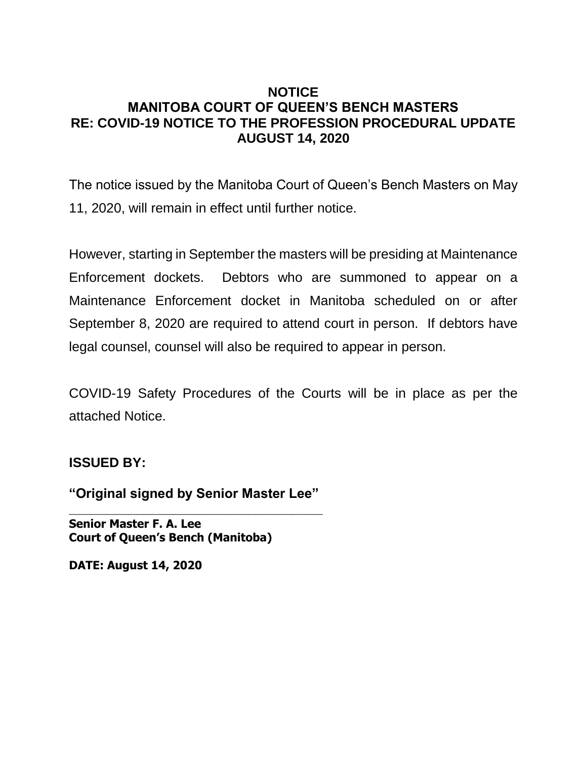## **NOTICE MANITOBA COURT OF QUEEN'S BENCH MASTERS RE: COVID-19 NOTICE TO THE PROFESSION PROCEDURAL UPDATE AUGUST 14, 2020**

The notice issued by the Manitoba Court of Queen's Bench Masters on May 11, 2020, will remain in effect until further notice.

However, starting in September the masters will be presiding at Maintenance Enforcement dockets. Debtors who are summoned to appear on a Maintenance Enforcement docket in Manitoba scheduled on or after September 8, 2020 are required to attend court in person. If debtors have legal counsel, counsel will also be required to appear in person.

COVID-19 Safety Procedures of the Courts will be in place as per the attached Notice.

## **ISSUED BY:**

**"Original signed by Senior Master Lee" \_\_\_\_\_\_\_\_\_\_\_\_\_\_\_\_\_\_\_\_\_\_\_\_\_\_\_\_\_\_\_\_\_\_**

**Senior Master F. A. Lee Court of Queen's Bench (Manitoba)**

**DATE: August 14, 2020**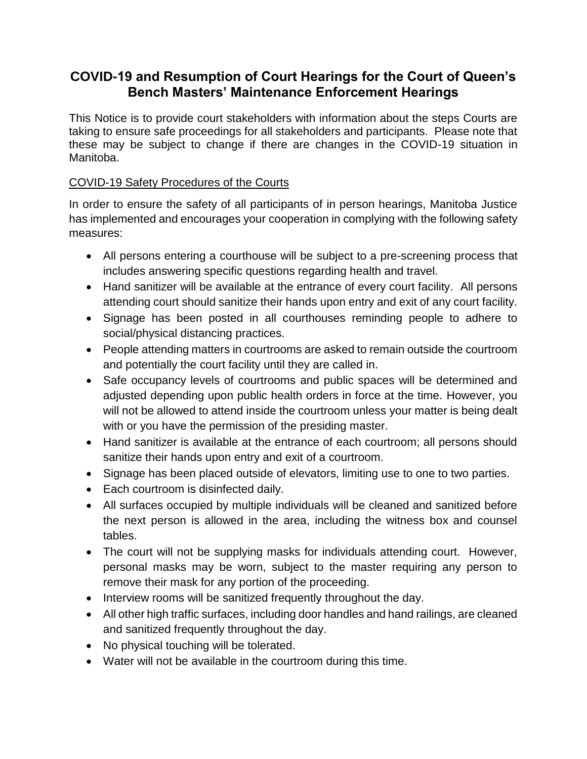## **COVID-19 and Resumption of Court Hearings for the Court of Queen's Bench Masters' Maintenance Enforcement Hearings**

This Notice is to provide court stakeholders with information about the steps Courts are taking to ensure safe proceedings for all stakeholders and participants. Please note that these may be subject to change if there are changes in the COVID-19 situation in Manitoba.

## COVID-19 Safety Procedures of the Courts

In order to ensure the safety of all participants of in person hearings, Manitoba Justice has implemented and encourages your cooperation in complying with the following safety measures:

- All persons entering a courthouse will be subject to a pre-screening process that includes answering specific questions regarding health and travel.
- Hand sanitizer will be available at the entrance of every court facility. All persons attending court should sanitize their hands upon entry and exit of any court facility.
- Signage has been posted in all courthouses reminding people to adhere to social/physical distancing practices.
- People attending matters in courtrooms are asked to remain outside the courtroom and potentially the court facility until they are called in.
- Safe occupancy levels of courtrooms and public spaces will be determined and adjusted depending upon public health orders in force at the time. However, you will not be allowed to attend inside the courtroom unless your matter is being dealt with or you have the permission of the presiding master.
- Hand sanitizer is available at the entrance of each courtroom; all persons should sanitize their hands upon entry and exit of a courtroom.
- Signage has been placed outside of elevators, limiting use to one to two parties.
- Each courtroom is disinfected daily.
- All surfaces occupied by multiple individuals will be cleaned and sanitized before the next person is allowed in the area, including the witness box and counsel tables.
- The court will not be supplying masks for individuals attending court. However, personal masks may be worn, subject to the master requiring any person to remove their mask for any portion of the proceeding.
- Interview rooms will be sanitized frequently throughout the day.
- All other high traffic surfaces, including door handles and hand railings, are cleaned and sanitized frequently throughout the day.
- No physical touching will be tolerated.
- Water will not be available in the courtroom during this time.